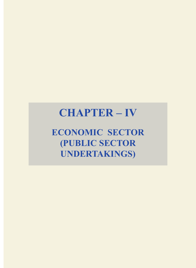# **CHAPTER – IV**

**ECONOMIC SECTOR (PUBLIC SECTOR UNDERTAKINGS)**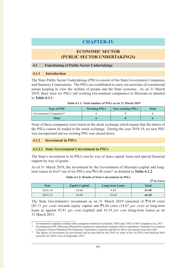# **CHAPTER-IV**

# **ECONOMIC SECTOR (PUBLIC SECTOR UNDERTAKINGS)**

#### **4.1 Functioning of Public Sector Undertakings**

#### **4.1.1 Introduction**

The State Public Sector Undertakings (PSUs) consist of the State Government Companies and Statutory Corporations. The PSUs are established to carry out activities of commercial nature keeping in view the welfare of people and the State economy. As on 31 March 2019, there were six PSUs (all working Government companies) in Mizoram as detailed in **Table-4.1.1**:

| <b>Type of PSU</b>                 | <b>Working PSUs</b> | <b>Non-working PSUs</b> | Total |
|------------------------------------|---------------------|-------------------------|-------|
| Government Companies <sup>43</sup> |                     |                         |       |
| Total                              |                     |                         |       |

None of these companies were listed on the stock exchange which means that the shares of the PSUs cannot be traded in the stock exchange. During the year 2018-19, no new PSU was incorporated and no existing PSU was closed down.

#### **4.1.2 Investment in PSUs**

#### **4.1.2.1 State Government's investment in PSUs**

The State's investment in its PSUs was by way of share capital/ loans and special financial support by way of grants.

As of 31 March 2019, the investment by the Government of Mizoram (capital and longterm loans) in five<sup>44</sup> out of six PSUs was ₹63.48 crore<sup>45</sup> as detailed in **Table-4.1.2**:

| Table-4.1.2: Details of State's investment in PSUs |  |  |
|----------------------------------------------------|--|--|
|----------------------------------------------------|--|--|

|         |                       |                        | $(\bar{z})$ in crore) |
|---------|-----------------------|------------------------|-----------------------|
| Year    | <b>Equity Capital</b> | <b>Long term Loans</b> | <b>Total</b>          |
| 2018-19 | 54.04                 | 9.44                   | 63.48                 |
| 2014-15 | 54.04                 | 10.44                  | 64.48                 |

The State Government's investment as on 31 March 2019 consisted of  $\overline{5}54.04$  crore (85.13 *per cent*) towards equity capital and  $\overline{z}$ 9.44 crore (14.87 *per cent*) in long-term loans as against 83.81 *per cent* (capital) and 16.19 *per cent* (long-term loans) as on 31 March 2015.

Government Companies includes other companies referred to in Section 139(5) and 139(7) of the Companies Act, 2013 <sup>44</sup> Excluding one PSU (Mizoram Mineral Development Corporation Limited), which is subsidiary of another Government

Company (Zoram Industrial Development Corporation Limited) and had no direct investment from the GoM <sup>45</sup> The figures of investment are provisional and as provided by the PSUs as none of the six PSUs had finalised their accounts for 2018-19 as of September 2019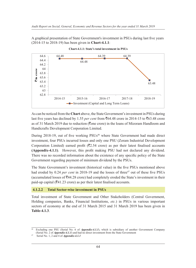A graphical presentation of State Government's investment in PSUs during last five years A graphical presentation of State Government's investment in PSUs during last five years (2014-15 to 2018-19) has been given in **Chart-4.1.1**: (2014-15 to 2018-19) has been given in **Chart-4.1.1**:



**Chart-4.1.1: State's total investment in PSUs Chart-4.1.1: State's total investment in PSUs**

As can be noticed from the **Chart** above, the State Government's investment in PSUs during As can be noticed from the **Chart** above, the State Government's investment in PSUs during last five years has declined by 1.55 *per cent* from ₹64.48 crore in 2014-15 to ₹63.48 crore as of 31 March 2019 due to reduction (₹one crore) in the loans of Mizoram Handloom and Handicrafts Development Corporation Limited. Handicrafts Development Corporation Limited.

During 2018-19, out of five working PSUs<sup>46</sup> where State Government had made direct investment, four PSUs incurred losses and only one PSU (Zoram Industrial Development investment, four PSUs incurred losses and only one PSU (Zoram Industrial Development Corporation Limited) earned profit ( $\overline{(}2.54$  crore) as per their latest finalised accounts **(Appendix-4.1.1)**. However, this profit making PSU had not declared any dividend. **(Appendix-4.1.1)**. However, this profit making PSU had not declared any dividend. There was no recorded information about the existence of any specific policy of the State There was no recorded information about the existence of any specific policy of the State Government regarding payment of minimum dividend by the PSUs. Government regarding payment of minimum dividend by the PSUs.

The State Government's investment (historical value) in the five PSUs mentioned above The State Government's investment (historical value) in the five PSUs mentioned above had eroded by 0.24 *per cent* in 2018-19 and the losses of three<sup>47</sup> out of these five PSUs (accumulated losses of  $\bar{z}$ 44.28 crore) had completely eroded the State's investment in their paid-up capital ( $\overline{(}41.23$  crore) as per their latest finalised accounts.

# **4.1.2.2 Total Sector-wise investment in PSUs 4.1.2.2 Total Sector-wise investment in PSUs**

Total investment of State Government and Other Stakeholders (Central Government, Total investment of State Government and Other Stakeholders (Central Government, Holding companies, Banks, Financial Institutions, *etc.*) in PSUs in various important Holding companies, Banks, Financial Institutions, *etc.*) in PSUs in various important sectors of economy at the end of 31 March 2015 and 31 March 2019 has been given in sectors of economy at the end of 31 March 2015 and 31 March 2019 has been given in **Table-4.1.3**. **Table-4.1.3**.

<sup>46</sup> Excluding one PSU (Serial No. 6 of *Appendix-4.1.1*), which is subsidiary of another Government Company <sup>46</sup> Excluding one PSU (Serial No. 6 of *Appendix-4.1.1*), which is subsidiary of another Government Company (Serial No. 2 of *Appendix-4.1.1*) and had no direct investment from the State Government

<sup>47</sup> Serial No. 1, 2 and 4 of *Appendix-4.1.1* 47 Serial No. 1, 2 and 4 of *Appendix-4.1.1*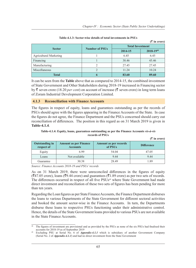|                               |                       |                         | $(\bar{\bar{\zeta}})$ in crore) |
|-------------------------------|-----------------------|-------------------------|---------------------------------|
|                               |                       | <b>Total Investment</b> |                                 |
| <b>Sector</b>                 | <b>Number of PSUs</b> | 2014-15                 | 2018-1948                       |
| <b>Agricultural Marketing</b> |                       | 6.45                    | 6.45                            |
| Financing                     |                       | 38.46                   | 45.46                           |
| Manufacturing                 |                       | 27.45                   | 27.45                           |
| Miscellaneous                 |                       | 11.24                   | 10.24                           |
| <b>Total</b>                  |                       | 83.60                   | 89.60                           |

**Table-4.1.3: Sector-wise details of total investments in PSUs**

It can be seen from the **Table** above that as compared to 2014-15, the combined investment of State Government and Other Stakeholders during 2018-19 increased in Financing sector by  $\bar{\zeta}$  seven crore (18.20 *per cent*) on account of increase ( $\bar{\zeta}$  seven crore) in long term loans of Zoram Industrial Development Corporation Limited.

#### **4.1.3 Reconciliation with Finance Accounts**

The figures in respect of equity, loans and guarantees outstanding as per the records of PSUs should agree with the figures appearing in the Finance Accounts of the State. In case the figures do not agree, the Finance Department and the PSUs concerned should carry out reconciliation of differences. The position in this regard as on 31 March 2019 is given in **Table-4.1.4**.

#### **Table-4.1.4: Equity, loans, guarantees outstanding as per the Finance Accounts** *vis-à-vis*  **records of PSUs**

|                                     |                                                 |                                         | $($ ₹ in crore)   |
|-------------------------------------|-------------------------------------------------|-----------------------------------------|-------------------|
| <b>Outstanding in</b><br>respect of | <b>Amount as per Finance</b><br><b>Accounts</b> | <b>Amount as per records</b><br>of PSUs | <b>Difference</b> |
| Equity                              | 6.99                                            | 54.04                                   | 47.05             |
| Loans                               | Not available                                   | 9.44                                    | 9.44              |
| Guarantee                           | 30.38                                           | 28.49                                   | 1.89              |

*Source: Finance Accounts 2018-19 and PSUs' records*

As on 31 March 2019, there were unreconciled differences in the figures of equity  $($ ₹47.05 crore), loans (₹9.44 crore) and guarantees (₹1.89 crore) as per two sets of records. The differences occurred in respect of all five PSUs<sup>49</sup> where State Government had made direct investment and reconciliation of these two sets of figures has been pending for more than ten years.

Regarding the Loan figures as per State Finance Accounts, the Finance Department disburses the loans to various Departments of the State Government for different sectoral activities and booked the amount sector-wise in the Finance Accounts. In turn, the Departments disburse these loans to respective PSUs functioning under their administrative control. Hence, the details of the State Government loans provided to various PSUs are not available in the State Finance Accounts.

The figures of investment are provisional and as provided by the PSUs as none of the six PSUs had finalised their accounts for 2018-19 as of September 2019

Excluding PSU at Serial No. 6 of *Appendix-4.1.1* which is subsidiary of another Government Company (Serial No. 2 of *Appendix-4.1.1*) and had no direct investment from the State Government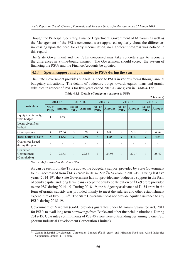Though the Principal Secretary, Finance Department, Government of Mizoram as well as the Management of the PSUs concerned were appraised regularly about the differences impressing upon the need for early reconciliation, no significant progress was noticed in this regard.

The State Government and the PSUs concerned may take concrete steps to reconcile the differences in a time-bound manner. The Government should correct the system of financing the PSUs and the Finance Accounts be updated.

# **4.1.4 Special support and guarantees to PSUs during the year**

The State Government provides financial support to PSUs in various forms through annual budgetary allocations. The details of budgetary outgo towards equity, loans and grants/ subsidies in respect of PSUs for five years ended 2018-19 are given in **Table-4.1.5**:

|                                         |                       | 2014-15       |                         | 2015-16<br>2016-17 |                         | 2017-18       |                          | 2018-19                  |                          |               |
|-----------------------------------------|-----------------------|---------------|-------------------------|--------------------|-------------------------|---------------|--------------------------|--------------------------|--------------------------|---------------|
| <b>Particulars</b>                      | No. of<br><b>PSUs</b> | <b>Amount</b> | No. of<br><b>PSUs</b>   | <b>Amount</b>      | No. of<br><b>PSUs</b>   | <b>Amount</b> | No. of<br><b>PSUs</b>    | <b>Amount</b>            | No. of<br><b>PSUs</b>    | <b>Amount</b> |
| Equity Capital outgo<br>from budget     | 1                     | 1.69          |                         |                    |                         |               | $\overline{\phantom{0}}$ | $\overline{\phantom{a}}$ | $\overline{\phantom{a}}$ |               |
| Loans given from<br>budget              |                       |               |                         |                    |                         |               |                          |                          |                          |               |
| Grants provided                         | $\overline{4}$        | 12.64         | 3                       | 9.92               | 4                       | 6.88          | $\overline{2}$           | 5.17                     | 2                        | 4.54          |
| Total Outgo $(1+2+3)$                   | 5                     | 14.33         | $\overline{\mathbf{3}}$ | 9.92               | $\overline{\mathbf{4}}$ | 6.88          | $\overline{2}$           | 5.17                     | $\overline{2}$           | 4.54          |
| Guarantees issued<br>during the year    |                       |               |                         |                    |                         |               |                          |                          |                          |               |
| Guarantee<br>Commitment<br>(Cumulative) | $\mathfrak{D}$        | 23.63         | $\mathbf{1}$            | 22.68              | $\mathbf{1}$            | 24.93         | $\mathbf{1}$             | 27.34                    | $\mathbf{1}$             | 28.49         |

| Table-4.1.5: Details of budgetary support to PSUs |
|---------------------------------------------------|
|---------------------------------------------------|

**(**` **in crore)**

*Source: As furnished by the state PSUs*

As can be seen from the **Table** above, the budgetary support provided by State Government to PSUs decreased from  $\overline{5}14.33$  crore in 2014-15 to  $\overline{5}4.54$  crore in 2018-19. During last five years (2014-19), the State Government has not provided any budgetary support in the form of equity capital and long term loans except the equity contribution of  $\bar{z}1.69$  crore provided to one PSU during 2014-15. During 2018-19, the budgetary assistance of  $\overline{5}4.54$  crore in the form of grants/ subsidy was provided mainly to meet the salaries and other establishment expenditure of two PSUs<sup>50</sup>. The State Government did not provide equity assistance to any PSUs during 2018-19.

Government of Mizoram (GoM) provides guarantee under Mizoram Guarantee Act, 2011 for PSUs to avail long term borrowings from Banks and other financial institutions. During 2018-19, Guarantee commitments of  $\overline{5}28.49$  crore were outstanding pertaining to one PSU (Zoram Industrial Development Corporation Limited).

<sup>50</sup> Zoram Industrial Development Corporation Limited (`2.83 crore) and Mizoram Food and Allied Industries Corporation Limited ( $\bar{\mathfrak{F}}$ 1.71 crore)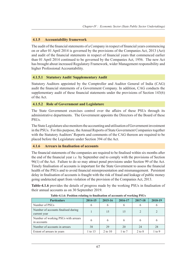# **4.1.5 Accountability framework**

The audit of the financial statements of a Company in respect of financial years commencing on or after 01 April 2014 is governed by the provisions of the Companies Act, 2013 (Act) and audit of the financial statements in respect of financial years that commenced earlier than 01 April 2014 continued to be governed by the Companies Act, 1956. The new Act has brought about increased Regulatory Framework, wider Management responsibility and higher Professional Accountability.

## **4.1.5.1 Statutory Audit/ Supplementary Audit**

Statutory Auditors appointed by the Comptroller and Auditor General of India (CAG) audit the financial statements of a Government Company. In addition, CAG conducts the supplementary audit of these financial statements under the provisions of Section 143(6) of the Act.

## **4.1.5.2 Role of Government and Legislature**

The State Government exercises control over the affairs of these PSUs through its administrative departments. The Government appoints the Directors of the Board of these PSUs.

The State Legislature also monitors the accounting and utilisation of Government investment in the PSUs. For this purpose, the Annual Reports of State Government Companies together with the Statutory Auditors' Reports and comments of the CAG thereon are required to be placed before the Legislature under Section 394 of the Act.

#### **4.1.6 Arrears in finalisation of accounts**

The financial statements of the companies are required to be finalised within six months after the end of the financial year *i.e.* by September end to comply with the provisions of Section 96(1) of the Act. Failure to do so may attract penal provisions under Section 99 of the Act. Timely finalisation of accounts is important for the State Government to assess the financial health of the PSUs and to avoid financial misrepresentation and mismanagement. Persistent delay in finalisation of accounts is fraught with the risk of fraud and leakage of public money going undetected apart from violation of the provision of the Companies Act, 2013.

**Table-4.1.6** provides the details of progress made by the working PSUs in finalisation of their annual accounts as on 30 September 2019.

| <b>Particulars</b>                                  | 2014-15      | 2015-16   | 2016-17           | 2017-18    | 2018-19    |  |  |  |  |
|-----------------------------------------------------|--------------|-----------|-------------------|------------|------------|--|--|--|--|
| Number of PSUs                                      |              | 6         | <sub>0</sub>      |            |            |  |  |  |  |
| Number of accounts finalised during<br>current year |              | 15        | 15                |            |            |  |  |  |  |
| Number of working PSUs with arrears<br>in accounts  | <sub>(</sub> | 6         | 6                 |            | 6          |  |  |  |  |
| Number of accounts in arrears                       | 38           | 29        | 20                | 24         | 28         |  |  |  |  |
| Extent of arrears in years                          | 1 to 13      | 2 to $10$ | $1 \text{ to } 7$ | $2$ to $8$ | $1$ to $9$ |  |  |  |  |

#### **Table-4.1.6: Position relating to finalisation of accounts of working PSUs**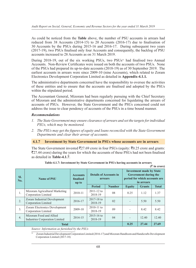As could be noticed from the **Table** above, the number of PSU accounts in arrears had reduced from 38 Accounts (2014-15) to 20 Accounts (2016-17) due to finalisation of 30 Accounts by the PSUs during 2015-16 and 2016-17. During subsequent two years (2017-19), two PSUs finalised only four Accounts and consequently, the backlog of PSU accounts increased to 28 Accounts as on 31 March 2019.

During 2018-19, out of the six working PSUs, two PSUs<sup>51</sup> had finalised two Annual Accounts. Non-Review Certificates were issued on both the accounts of two PSUs. None of the PSUs had prepared its up-to-date accounts (2018-19) as of 30 September 2019. The earliest accounts in arrears were since 2009-10 (nine Accounts), which related to Zoram Electronics Development Corporation Limited as detailed in **Appendix-4.1.1***.*

The administrative departments concerned have the responsibility to oversee the activities of these entities and to ensure that the accounts are finalised and adopted by the PSUs within the stipulated period.

The Accountant General, Mizoram had been regularly pursuing with the Chief Secretary of Mizoram and the administrative departments concerned for liquidating the arrears of accounts of PSUs. However, the State Government and the PSUs concerned could not address the issue to clear pendency of accounts of the PSUs in a time bound manner.

## *Recommendations*

- *1. The State Government may ensure clearance of arrears and set the targets for individual PSUs, which may be monitored.*
- *2. The PSUs may get the figures of equity and loans reconciled with the State Government Departments and clear their arrear of accounts.*

#### **4.1.7 Investment by State Government in PSUs whose accounts are in arrears**

The State Government invested  $\overline{5}27.69$  crore in four PSUs (equity:  $\overline{5}0.25$  crore and grants: `27.44 crore) during the years for which the accounts of these PSUs had not been finalised as detailed in **Table-4.1.7**.

| SI.<br>No.       | <b>Name of PSU</b>                                               | <b>Accounts</b><br>finalised<br>up to | <b>Details of Accounts in</b><br>arrears |               | <b>Investment made by State</b><br>Government during the<br>period for which accounts are<br>in arrears<br><b>Equity</b><br><b>Grants</b> |       |              |
|------------------|------------------------------------------------------------------|---------------------------------------|------------------------------------------|---------------|-------------------------------------------------------------------------------------------------------------------------------------------|-------|--------------|
|                  |                                                                  |                                       | <b>Period</b>                            | <b>Number</b> |                                                                                                                                           |       | <b>Total</b> |
| 1.               | Mizoram Agricultural Marketing<br>Corporation Limited            | 2010-11                               | $2011 - 12$ to<br>2018-19                | 08            | 0.25                                                                                                                                      | 1.12  | 1.37         |
| 2.               | Zoram Industrial Development<br>Corporation Limited              | 2016-17                               | $2017 - 18$ to<br>2018-19                | 02            |                                                                                                                                           | 5.50  | 5.50         |
| 3.               | Zoram Electronics Development<br>Corporation Limited             | 2009-10                               | $2010 - 11$ to<br>2018-19                | 09            |                                                                                                                                           | 8.42  | 8.42         |
| $\overline{4}$ . | Mizoram Food and Allied<br><b>Industries Corporation Limited</b> | 2014-15                               | $2015 - 16$ to<br>2018-19                | 04            |                                                                                                                                           | 12.40 | 12.40        |
|                  | <b>Total</b>                                                     |                                       |                                          |               |                                                                                                                                           |       | 27.69        |

**Table-4.1.7: Investment by State Government in PSUs having accounts in arrears (**` **in crore)**

*Source: Information as furnished by the PSUs*

51 Zoram Industrial Development Corporation Limited (2016-17) and Mizoram Handloom and Handicrafts Development Corporation Limited (2017-18)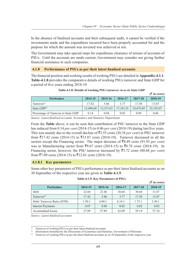In the absence of finalised accounts and their subsequent audit, it cannot be verified if the investments made and the expenditure incurred have been properly accounted for and the purpose for which the amount was invested was achieved or not.

The Government may take special steps for expeditious clearance of arrears of accounts of PSUs. Until the accounts are made current, Government may consider not giving further financial assistance to such companies.

#### **4.1.8 Performance of PSUs as per their latest finalised accounts**

The financial position and working results of working PSUs are detailed in **Appendix-4.1.1**. **Table-4.1.8** provides the comparative details of working PSUs turnover and State GDP for a period of five years ending 2018-19.

|                                     |           |           |           |           | $(3 \times 1)$ in crore) |
|-------------------------------------|-----------|-----------|-----------|-----------|--------------------------|
| <b>Particulars</b>                  | 2014-15   | 2015-16   | 2016-17   | 2017-18   | 2018-19                  |
| Turnover <sup>52</sup>              | 17.42     | 5.86      | 3.77      | 17.58     | 13.87                    |
| State GDP <sup>53</sup>             | 12,498.69 | 13,373.83 | 17.191.91 | 19,475.69 | 22,192.07                |
| Percentage of Turnover to State GDP | 0.14      | 0.04      | 0.02      | 0.09      | 0.06                     |

| Table-4.1.8: Details of working PSUs turnover vis-a-vis State GDP |  |  |  |  |  |  |  |
|-------------------------------------------------------------------|--|--|--|--|--|--|--|
|-------------------------------------------------------------------|--|--|--|--|--|--|--|

*Source: Latest finalised accounts, Economics and Statistics Department*

From the **Table** above, it can be seen that contribution of PSU turnover to the State GDP has reduced from 0.14 *per cent* (2014-15) to 0.06 *per cent* (2018-19) during last five years. This was mainly due to the overall decline of  $\overline{53.55}$  crore (20.38 *per cent*) in PSU turnover from  $\overline{5}17.42$  crore (2014-15) to  $\overline{5}13.87$  crore (2018-19). Turnover decreased in all the sectors except the Financing sector. The major decrease of  $\bar{\mathbf{z}}$ 8.89 crore (91.93 *per cent*) was in Manufacturing sector from  $\overline{59.67}$  crore (2014-15) to  $\overline{50.78}$  crore (2018-19). In Financing sector, however, the PSU turnover increased by `5.72 crore (80.68 *per cent*) from  $\overline{57.09}$  crore (2014-15) to  $\overline{512.81}$  crore (2018-19).

#### **4.1.8.1 Key parameters**

Some other key parameters of PSUs performance as per their latest finalised accounts as on 30 September of the respective year are given in **Table-4.1.9**.

|                           |         |         |         |         | $(3 \nvert \bar{z}$ in crore) |
|---------------------------|---------|---------|---------|---------|-------------------------------|
| <b>Particulars</b>        | 2014-15 | 2015-16 | 2016-17 | 2017-18 | 2018-19                       |
| Debt                      | 22.68   | 23.46   | 30.68   | 30.68   | 31.87                         |
| Turnover <sup>54</sup>    | 17.42   | 5.86    | 3.77    | 17.58   | 13.87                         |
| Debt/Turnover Ratio (DTR) | 1.30:1  | 4.00:1  | 8.14:1  | 1.75:1  | 2.30:1                        |
| <b>Interest Payments</b>  | 0.07    | 0.06    | 0.02    | 0.02    | 0.02                          |
| Accumulated losses        | 57.89   | 57.89   | 62.09   | 59.14   | 57.10                         |

#### **Table-4.1.9: Key Parameters of PSUs**

*Source: Latest finalised accounts*

<sup>&</sup>lt;sup>52</sup> Turnover of working PSUs as per their latest finalised accounts<br> $53$  Information furnished by the Directorate of Economics and States

 $^{53}$  Information furnished by the Directorate of Economics and Statistics, Government of Mizoram

Turnover of working PSUs as per the latest finalised accounts as on 30 September of the respective year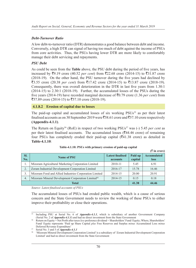# *Debt-Turnover Ratio*

A low debt-to-turnover ratio (DTR) demonstrates a good balance between debt and income. Conversely, a high DTR can signal of having too much of debt against the income of PSUs from core activities. Thus, the PSUs having lower DTR are more likely to comfortably manage their debt servicing and repayments.

# *PSU Debt*

As could be seen from the **Table** above, the PSU debt during the period of five years, has increased by ₹9.19 crore (40.52 *per cent*) from ₹22.68 crore (2014-15) to ₹31.87 crore (2018-19). On the other hand, the PSU turnover during the five years had declined by  $\overline{3.55}$  crore (20.38 *per cent*) from  $\overline{317.42}$  crore (2014-15) to  $\overline{313.87}$  crore (2018-19). Consequently, there was overall deterioration in the DTR in last five years from 1.30:1 (2014-15) to 2.30:1 (2018-19). Further, the accumulated losses of the PSUs during the five years (2014-19) have recorded marginal decrease of  $\overline{5}0.79$  crore (1.36 *per cent*) from  $\overline{$}57.89$  crore (2014-15) to  $\overline{$}57.10$  crore (2018-19).

# **4.1.8.2 Erosion of capital due to losses**

The paid-up capital and accumulated losses of six working PSUs<sup>55</sup> as per their latest finalised accounts as on 30 September 2019 were  $\overline{5}58.61$  crore and  $\overline{5}57.10$  crore respectively **(Appendix-4.1.1)**.

The Return on Equity<sup>56</sup> (RoE) in respect of two working PSUs<sup>57</sup> was (-) 5.45 *per cent* as per their latest finalised accounts. The accumulated losses ( $\overline{\mathfrak{F}}$ 44.46 crore) of remaining four PSUs has completely eroded their paid-up capital  $(41.38 \text{ core})$  as detailed in **Table-4.1.10**:

|            |                                                               |                                     |                    | $(\bar{z})$ in crore)      |
|------------|---------------------------------------------------------------|-------------------------------------|--------------------|----------------------------|
| SI.<br>No. | <b>Name of PSU</b>                                            | <b>Latest finalised</b><br>accounts | Paid up<br>capital | <b>Accumulated</b><br>loss |
|            | Mizoram Agricultural Marketing Corporation Limited            | 2010-11                             | 5.45               | 6.91                       |
| 2.         | Zoram Industrial Development Corporation Limited              | 2016-17                             | 15.78              | 16.46                      |
| 3.         | Mizoram Food and Allied Industries Corporation Limited        | 2014-15                             | 20.00              | 20.91                      |
| 4.         | Mizoram Mineral Development Corporation Limited <sup>58</sup> | 2014-15                             | 0.15               | 0.18                       |
| Total      |                                                               |                                     | 41.38              | 44.46                      |

|  |  |  | Table-4.1.10: PSUs with primary erosion of paid-up capital |
|--|--|--|------------------------------------------------------------|
|--|--|--|------------------------------------------------------------|

*Source: Latest finalised accounts of PSUs*

The accumulated losses of PSUs had eroded public wealth, which is a cause of serious concern and the State Government needs to review the working of these PSUs to either improve their profitability or close their operations.

<sup>&</sup>lt;sup>55</sup> Including PSU at Serial No. 6 of *Appendix-4.1.1*, which is subsidiary of another Government Company (Serial No. 2 of *Appendix-4.1.1*) and had no direct investment from the State Government

<sup>56</sup> Return on Equity = Net Profit after taxes *less* preference dividend ÷ Shareholders' Fund/ Equity; Where, Shareholders' Fund/ Equity represents 'Paid up Share Capital *plus* Free Reserves and Surplus *minus* Accumulated Loss *minus* 

Deferred Revenue Expenditure' 57 Serial No. 3 and 5 of *Appendix-4.1.1*

<sup>58</sup> 'Mizoram Mineral Development Corporation Limited' is a subsidiary of 'Zoram Industrial Development Corporation Limited' and had no direct investment from the State Government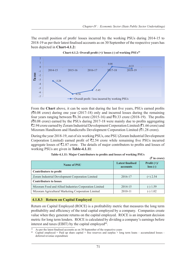The overall position of profit/ losses incurred by the working PSUs during 2014-15 to The overall position of profit/ losses incurred by the working PSUs during 2014-15 to 2018-19 as per their latest finalised accounts as on 30 September of the respective years has 2018-19 as per their latest finalised accounts as on 30 September of the respective years has been depicted in **Chart-4.1.2:** been depicted in **Chart-4.1.2:**



**Chart-4.1.2: Overall profit (+)/ losses (-) of working PSUs<sup>59</sup>** 

From the Chart above, it can be seen that during the last five years, PSUs earned profits  $(\overline{50.08})$  crore) during one year (2017-18) only and incurred losses during the remaining (₹0.08 crore) during one year (2017-18) only and incurred losses during the remaining four years ranging between ₹6.36 crore (2015-16) and ₹0.33 crore (2018-19). The profits  $(30.08 \text{ error})$  earned by the PSUs during 2017-18 were mainly due to profits aggregating ₹2.94 crore earned by Zoram Industrial Development Corporation Limited (₹1.66 crore) and<br>Mizoram Handloom and Handicrafts Development Corporation Limited (₹1.28 crore). Mizoram Handloom and Handicrafts Development Corporation Limited  $(\overline{\mathcal{F}}1.28 \text{ error})$ .

During the year 2018-19, out of six working PSUs, one PSU (Zoram Industrial Development During the year 2018-19, out of six working PSUs, one PSU (Zoram Industrial Development<br>Corporation Limited) earned profit of ₹2.54 crore while remaining five PSUs incurred aggregate losses of  $\overline{5}2.87$  crore. The details of major contributors to profits and losses of working PSUs are given in **Table-4.1.11**: working PSUs are given in **Table-4.1.11**:

|                                                        |                                     | $(\bar{\bar{\mathbf{x}}}$ in crore) |
|--------------------------------------------------------|-------------------------------------|-------------------------------------|
| <b>Name of PSU</b>                                     | <b>Latest finalised</b><br>accounts | Profit $(+)/$<br>$loss(-)$          |
| Contributors to profit                                 |                                     |                                     |
| Zoram Industrial Development Corporation Limited       | 2016-17                             | $(+)$ 2.54                          |
| <b>Contributors to losses</b>                          |                                     |                                     |
| Mizoram Food and Allied Industries Corporation Limited | 2014-15                             | $(-) 1.59$                          |
| Mizoram Agricultural Marketing Corporation Limited     | $2010 - 11$                         | $(-)$ 1.02                          |

**Table-4.1.11: Major Contributors to profits and losses of working PSUs Table-4.1.11: Major Contributors to profits and losses of working PSUs**

#### **4.1.8.3 Return on Capital Employed Return**

Return on Capital Employed (ROCE) is a profitability metric that measures the long term Return on Capital Employed (ROCE) is a profitability metric that measures the long term<br>profitability and efficiency of the total capital employed by a company. Companies create value when they generate returns on the capital employed. ROCE is an important decision value when they generate returns on the capital employed. ROCE is an important decision metric for long term lenders. ROCE is calculated by dividing a company's earnings before interest and taxes (EBIT) by the capital employed<sup>60</sup>.

 $59$  $^{59}$  As per the latest finalised accounts as on 30 September of the respective years

<sup>&</sup>lt;sup>60</sup> Capital employed = Paid up share capital + free reserves and surplus + long term loans – accumulated losses deferred revenue expenditure deferred revenue expenditure